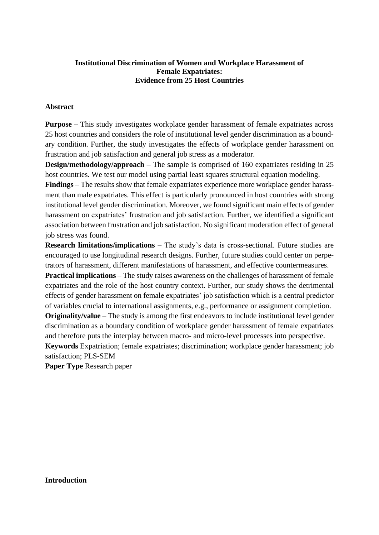# **Institutional Discrimination of Women and Workplace Harassment of Female Expatriates: Evidence from 25 Host Countries**

## **Abstract**

**Purpose** – This study investigates workplace gender harassment of female expatriates across 25 host countries and considers the role of institutional level gender discrimination as a boundary condition. Further, the study investigates the effects of workplace gender harassment on frustration and job satisfaction and general job stress as a moderator.

**Design/methodology/approach** – The sample is comprised of 160 expatriates residing in 25 host countries. We test our model using partial least squares structural equation modeling.

**Findings** – The results show that female expatriates experience more workplace gender harassment than male expatriates. This effect is particularly pronounced in host countries with strong institutional level gender discrimination. Moreover, we found significant main effects of gender harassment on expatriates' frustration and job satisfaction. Further, we identified a significant association between frustration and job satisfaction. No significant moderation effect of general job stress was found.

**Research limitations/implications** – The study's data is cross-sectional. Future studies are encouraged to use longitudinal research designs. Further, future studies could center on perpetrators of harassment, different manifestations of harassment, and effective countermeasures.

**Practical implications** – The study raises awareness on the challenges of harassment of female expatriates and the role of the host country context. Further, our study shows the detrimental effects of gender harassment on female expatriates' job satisfaction which is a central predictor of variables crucial to international assignments, e.g., performance or assignment completion.

**Originality/value** – The study is among the first endeavors to include institutional level gender discrimination as a boundary condition of workplace gender harassment of female expatriates and therefore puts the interplay between macro- and micro-level processes into perspective.

**Keywords** Expatriation; female expatriates; discrimination; workplace gender harassment; job satisfaction; PLS-SEM

**Paper Type** Research paper

**Introduction**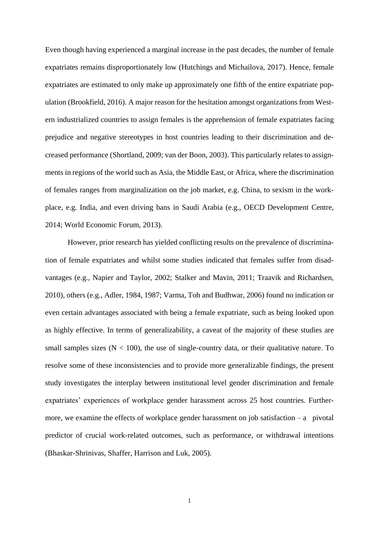Even though having experienced a marginal increase in the past decades, the number of female expatriates remains disproportionately low (Hutchings and Michailova, 2017). Hence, female expatriates are estimated to only make up approximately one fifth of the entire expatriate population (Brookfield, 2016). A major reason for the hesitation amongst organizations from Western industrialized countries to assign females is the apprehension of female expatriates facing prejudice and negative stereotypes in host countries leading to their discrimination and decreased performance (Shortland, 2009; van der Boon, 2003). This particularly relates to assignments in regions of the world such as Asia, the Middle East, or Africa, where the discrimination of females ranges from marginalization on the job market, e.g. China, to sexism in the workplace, e.g. India, and even driving bans in Saudi Arabia (e.g., OECD Development Centre, 2014; World Economic Forum, 2013).

However, prior research has yielded conflicting results on the prevalence of discrimination of female expatriates and whilst some studies indicated that females suffer from disadvantages (e.g., Napier and Taylor, 2002; Stalker and Mavin, 2011; Traavik and Richardsen, 2010), others (e.g., Adler, 1984, 1987; Varma, Toh and Budhwar, 2006) found no indication or even certain advantages associated with being a female expatriate, such as being looked upon as highly effective. In terms of generalizability, a caveat of the majority of these studies are small samples sizes  $(N < 100)$ , the use of single-country data, or their qualitative nature. To resolve some of these inconsistencies and to provide more generalizable findings, the present study investigates the interplay between institutional level gender discrimination and female expatriates' experiences of workplace gender harassment across 25 host countries. Furthermore, we examine the effects of workplace gender harassment on job satisfaction – a pivotal predictor of crucial work-related outcomes, such as performance, or withdrawal intentions (Bhaskar-Shrinivas, Shaffer, Harrison and Luk, 2005).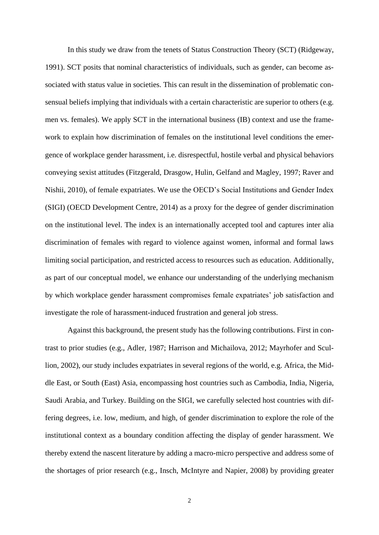In this study we draw from the tenets of Status Construction Theory (SCT) (Ridgeway, 1991). SCT posits that nominal characteristics of individuals, such as gender, can become associated with status value in societies. This can result in the dissemination of problematic consensual beliefs implying that individuals with a certain characteristic are superior to others (e.g. men vs. females). We apply SCT in the international business (IB) context and use the framework to explain how discrimination of females on the institutional level conditions the emergence of workplace gender harassment, i.e. disrespectful, hostile verbal and physical behaviors conveying sexist attitudes (Fitzgerald, Drasgow, Hulin, Gelfand and Magley, 1997; Raver and Nishii, 2010), of female expatriates. We use the OECD's Social Institutions and Gender Index (SIGI) (OECD Development Centre, 2014) as a proxy for the degree of gender discrimination on the institutional level. The index is an internationally accepted tool and captures inter alia discrimination of females with regard to violence against women, informal and formal laws limiting social participation, and restricted access to resources such as education. Additionally, as part of our conceptual model, we enhance our understanding of the underlying mechanism by which workplace gender harassment compromises female expatriates' job satisfaction and investigate the role of harassment-induced frustration and general job stress.

Against this background, the present study has the following contributions. First in contrast to prior studies (e.g., Adler, 1987; Harrison and Michailova, 2012; Mayrhofer and Scullion, 2002), our study includes expatriates in several regions of the world, e.g. Africa, the Middle East, or South (East) Asia, encompassing host countries such as Cambodia, India, Nigeria, Saudi Arabia, and Turkey. Building on the SIGI, we carefully selected host countries with differing degrees, i.e. low, medium, and high, of gender discrimination to explore the role of the institutional context as a boundary condition affecting the display of gender harassment. We thereby extend the nascent literature by adding a macro-micro perspective and address some of the shortages of prior research (e.g., Insch, McIntyre and Napier, 2008) by providing greater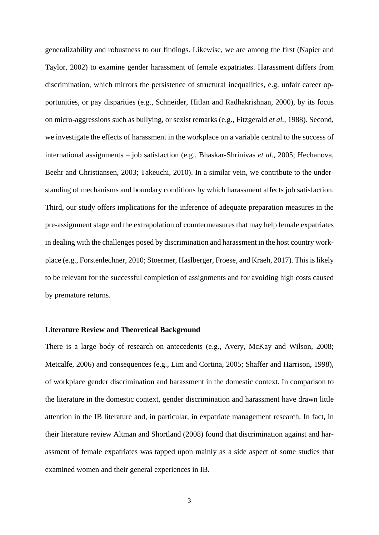generalizability and robustness to our findings. Likewise, we are among the first (Napier and Taylor, 2002) to examine gender harassment of female expatriates. Harassment differs from discrimination, which mirrors the persistence of structural inequalities, e.g. unfair career opportunities, or pay disparities (e.g., Schneider, Hitlan and Radhakrishnan, 2000), by its focus on micro-aggressions such as bullying, or sexist remarks (e.g., Fitzgerald *et al.*, 1988). Second, we investigate the effects of harassment in the workplace on a variable central to the success of international assignments – job satisfaction (e.g., Bhaskar-Shrinivas *et al.*, 2005; Hechanova, Beehr and Christiansen, 2003; Takeuchi, 2010). In a similar vein, we contribute to the understanding of mechanisms and boundary conditions by which harassment affects job satisfaction. Third, our study offers implications for the inference of adequate preparation measures in the pre-assignment stage and the extrapolation of countermeasures that may help female expatriates in dealing with the challenges posed by discrimination and harassment in the host country workplace (e.g., Forstenlechner, 2010; Stoermer, Haslberger, Froese, and Kraeh, 2017). This is likely to be relevant for the successful completion of assignments and for avoiding high costs caused by premature returns.

#### **Literature Review and Theoretical Background**

There is a large body of research on antecedents (e.g., Avery, McKay and Wilson, 2008; Metcalfe, 2006) and consequences (e.g., Lim and Cortina, 2005; Shaffer and Harrison, 1998), of workplace gender discrimination and harassment in the domestic context. In comparison to the literature in the domestic context, gender discrimination and harassment have drawn little attention in the IB literature and, in particular, in expatriate management research. In fact, in their literature review Altman and Shortland (2008) found that discrimination against and harassment of female expatriates was tapped upon mainly as a side aspect of some studies that examined women and their general experiences in IB.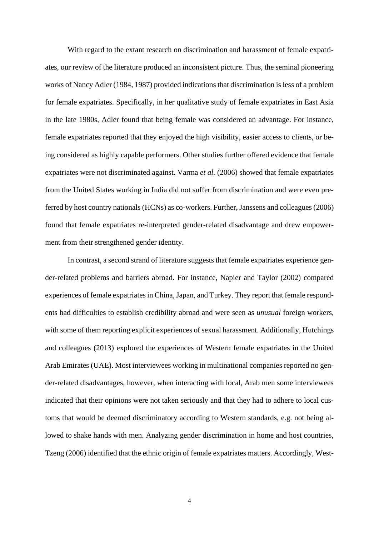With regard to the extant research on discrimination and harassment of female expatriates, our review of the literature produced an inconsistent picture. Thus, the seminal pioneering works of Nancy Adler (1984, 1987) provided indications that discrimination is less of a problem for female expatriates. Specifically, in her qualitative study of female expatriates in East Asia in the late 1980s, Adler found that being female was considered an advantage. For instance, female expatriates reported that they enjoyed the high visibility, easier access to clients, or being considered as highly capable performers. Other studies further offered evidence that female expatriates were not discriminated against. Varma *et al.* (2006) showed that female expatriates from the United States working in India did not suffer from discrimination and were even preferred by host country nationals (HCNs) as co-workers. Further, Janssens and colleagues (2006) found that female expatriates re-interpreted gender-related disadvantage and drew empowerment from their strengthened gender identity.

In contrast, a second strand of literature suggests that female expatriates experience gender-related problems and barriers abroad. For instance, Napier and Taylor (2002) compared experiences of female expatriates in China, Japan, and Turkey. They report that female respondents had difficulties to establish credibility abroad and were seen as *unusual* foreign workers, with some of them reporting explicit experiences of sexual harassment. Additionally, Hutchings and colleagues (2013) explored the experiences of Western female expatriates in the United Arab Emirates (UAE). Most interviewees working in multinational companies reported no gender-related disadvantages, however, when interacting with local, Arab men some interviewees indicated that their opinions were not taken seriously and that they had to adhere to local customs that would be deemed discriminatory according to Western standards, e.g. not being allowed to shake hands with men. Analyzing gender discrimination in home and host countries, Tzeng (2006) identified that the ethnic origin of female expatriates matters. Accordingly, West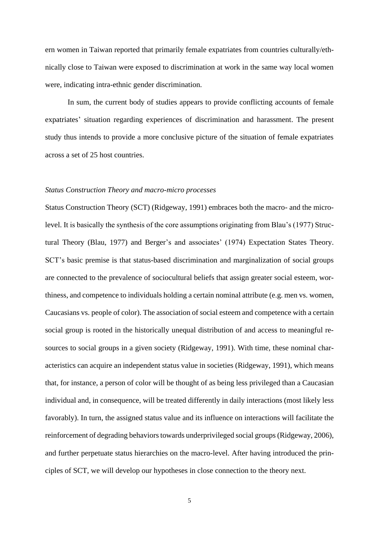ern women in Taiwan reported that primarily female expatriates from countries culturally/ethnically close to Taiwan were exposed to discrimination at work in the same way local women were, indicating intra-ethnic gender discrimination.

In sum, the current body of studies appears to provide conflicting accounts of female expatriates' situation regarding experiences of discrimination and harassment. The present study thus intends to provide a more conclusive picture of the situation of female expatriates across a set of 25 host countries.

### *Status Construction Theory and macro-micro processes*

Status Construction Theory (SCT) (Ridgeway, 1991) embraces both the macro- and the microlevel. It is basically the synthesis of the core assumptions originating from Blau's (1977) Structural Theory (Blau, 1977) and Berger's and associates' (1974) Expectation States Theory. SCT's basic premise is that status-based discrimination and marginalization of social groups are connected to the prevalence of sociocultural beliefs that assign greater social esteem, worthiness, and competence to individuals holding a certain nominal attribute (e.g. men vs. women, Caucasians vs. people of color). The association of social esteem and competence with a certain social group is rooted in the historically unequal distribution of and access to meaningful resources to social groups in a given society (Ridgeway, 1991). With time, these nominal characteristics can acquire an independent status value in societies (Ridgeway, 1991), which means that, for instance, a person of color will be thought of as being less privileged than a Caucasian individual and, in consequence, will be treated differently in daily interactions (most likely less favorably). In turn, the assigned status value and its influence on interactions will facilitate the reinforcement of degrading behaviors towards underprivileged social groups (Ridgeway, 2006), and further perpetuate status hierarchies on the macro-level. After having introduced the principles of SCT, we will develop our hypotheses in close connection to the theory next.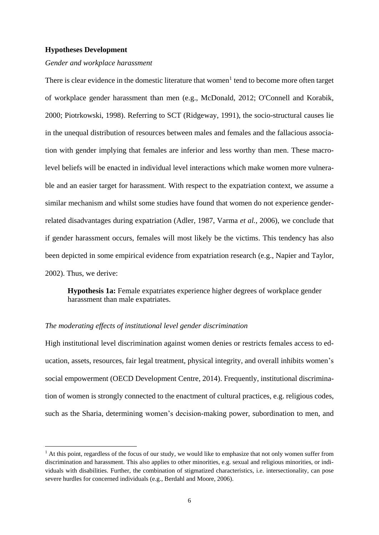#### **Hypotheses Development**

<u>.</u>

### *Gender and workplace harassment*

There is clear evidence in the domestic literature that women<sup>1</sup> tend to become more often target of workplace gender harassment than men (e.g., McDonald, 2012; O'Connell and Korabik, 2000; Piotrkowski, 1998). Referring to SCT (Ridgeway, 1991), the socio-structural causes lie in the unequal distribution of resources between males and females and the fallacious association with gender implying that females are inferior and less worthy than men. These macrolevel beliefs will be enacted in individual level interactions which make women more vulnerable and an easier target for harassment. With respect to the expatriation context, we assume a similar mechanism and whilst some studies have found that women do not experience genderrelated disadvantages during expatriation (Adler, 1987, Varma *et al.*, 2006), we conclude that if gender harassment occurs, females will most likely be the victims. This tendency has also been depicted in some empirical evidence from expatriation research (e.g., Napier and Taylor, 2002). Thus, we derive:

**Hypothesis 1a:** Female expatriates experience higher degrees of workplace gender harassment than male expatriates.

#### *The moderating effects of institutional level gender discrimination*

High institutional level discrimination against women denies or restricts females access to education, assets, resources, fair legal treatment, physical integrity, and overall inhibits women's social empowerment (OECD Development Centre, 2014). Frequently, institutional discrimination of women is strongly connected to the enactment of cultural practices, e.g. religious codes, such as the Sharia, determining women's decision-making power, subordination to men, and

 $<sup>1</sup>$  At this point, regardless of the focus of our study, we would like to emphasize that not only women suffer from</sup> discrimination and harassment. This also applies to other minorities, e.g. sexual and religious minorities, or individuals with disabilities. Further, the combination of stigmatized characteristics, i.e. intersectionality, can pose severe hurdles for concerned individuals (e.g., Berdahl and Moore, 2006).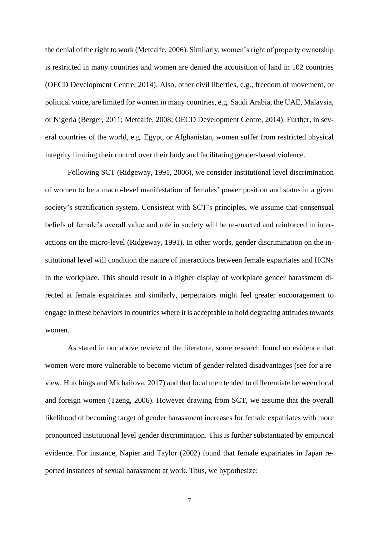the denial of the right to work (Metcalfe, 2006). Similarly, women's right of property ownership is restricted in many countries and women are denied the acquisition of land in 102 countries (OECD Development Centre, 2014). Also, other civil liberties, e.g., freedom of movement, or political voice, are limited for women in many countries, e.g. Saudi Arabia, the UAE, Malaysia, or Nigeria (Berger, 2011; Metcalfe, 2008; OECD Development Centre, 2014). Further, in several countries of the world, e.g. Egypt, or Afghanistan, women suffer from restricted physical integrity limiting their control over their body and facilitating gender-based violence.

Following SCT (Ridgeway, 1991, 2006), we consider institutional level discrimination of women to be a macro-level manifestation of females' power position and status in a given society's stratification system. Consistent with SCT's principles, we assume that consensual beliefs of female's overall value and role in society will be re-enacted and reinforced in interactions on the micro-level (Ridgeway, 1991). In other words, gender discrimination on the institutional level will condition the nature of interactions between female expatriates and HCNs in the workplace. This should result in a higher display of workplace gender harassment directed at female expatriates and similarly, perpetrators might feel greater encouragement to engage in these behaviors in countries where it is acceptable to hold degrading attitudes towards women.

As stated in our above review of the literature, some research found no evidence that women were more vulnerable to become victim of gender-related disadvantages (see for a review: Hutchings and Michailova, 2017) and that local men tended to differentiate between local and foreign women (Tzeng, 2006). However drawing from SCT, we assume that the overall likelihood of becoming target of gender harassment increases for female expatriates with more pronounced institutional level gender discrimination. This is further substantiated by empirical evidence. For instance, Napier and Taylor (2002) found that female expatriates in Japan reported instances of sexual harassment at work. Thus, we hypothesize: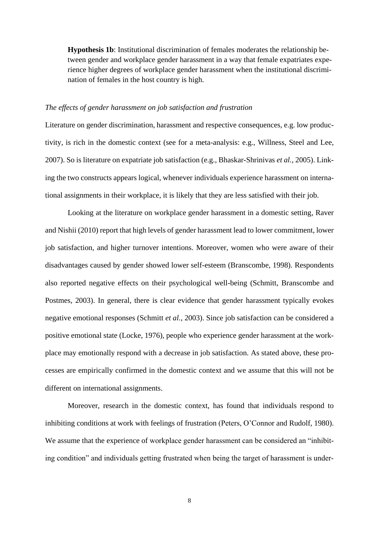**Hypothesis 1b**: Institutional discrimination of females moderates the relationship between gender and workplace gender harassment in a way that female expatriates experience higher degrees of workplace gender harassment when the institutional discrimination of females in the host country is high.

#### *The effects of gender harassment on job satisfaction and frustration*

Literature on gender discrimination, harassment and respective consequences, e.g. low productivity, is rich in the domestic context (see for a meta-analysis: e.g., Willness, Steel and Lee, 2007). So is literature on expatriate job satisfaction (e.g., Bhaskar-Shrinivas *et al.*, 2005). Linking the two constructs appears logical, whenever individuals experience harassment on international assignments in their workplace, it is likely that they are less satisfied with their job.

Looking at the literature on workplace gender harassment in a domestic setting, Raver and Nishii (2010) report that high levels of gender harassment lead to lower commitment, lower job satisfaction, and higher turnover intentions. Moreover, women who were aware of their disadvantages caused by gender showed lower self-esteem (Branscombe, 1998). Respondents also reported negative effects on their psychological well-being (Schmitt, Branscombe and Postmes, 2003). In general, there is clear evidence that gender harassment typically evokes negative emotional responses (Schmitt *et al.*, 2003). Since job satisfaction can be considered a positive emotional state (Locke, 1976), people who experience gender harassment at the workplace may emotionally respond with a decrease in job satisfaction. As stated above, these processes are empirically confirmed in the domestic context and we assume that this will not be different on international assignments.

Moreover, research in the domestic context, has found that individuals respond to inhibiting conditions at work with feelings of frustration (Peters, O'Connor and Rudolf, 1980). We assume that the experience of workplace gender harassment can be considered an "inhibiting condition" and individuals getting frustrated when being the target of harassment is under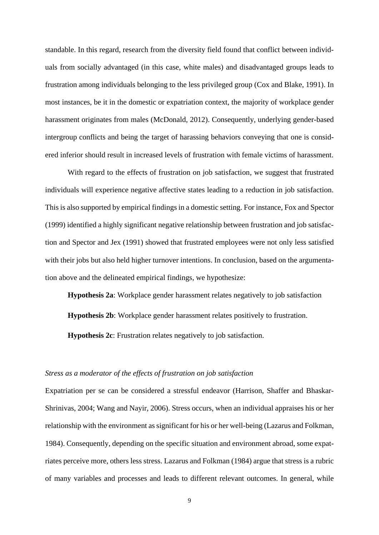standable. In this regard, research from the diversity field found that conflict between individuals from socially advantaged (in this case, white males) and disadvantaged groups leads to frustration among individuals belonging to the less privileged group (Cox and Blake, 1991). In most instances, be it in the domestic or expatriation context, the majority of workplace gender harassment originates from males (McDonald, 2012). Consequently, underlying gender-based intergroup conflicts and being the target of harassing behaviors conveying that one is considered inferior should result in increased levels of frustration with female victims of harassment.

With regard to the effects of frustration on job satisfaction, we suggest that frustrated individuals will experience negative affective states leading to a reduction in job satisfaction. This is also supported by empirical findings in a domestic setting. For instance, Fox and Spector (1999) identified a highly significant negative relationship between frustration and job satisfaction and Spector and Jex (1991) showed that frustrated employees were not only less satisfied with their jobs but also held higher turnover intentions. In conclusion, based on the argumentation above and the delineated empirical findings, we hypothesize:

**Hypothesis 2a**: Workplace gender harassment relates negatively to job satisfaction

**Hypothesis 2b**: Workplace gender harassment relates positively to frustration.

**Hypothesis 2c**: Frustration relates negatively to job satisfaction.

## *Stress as a moderator of the effects of frustration on job satisfaction*

Expatriation per se can be considered a stressful endeavor (Harrison, Shaffer and Bhaskar-Shrinivas, 2004; Wang and Nayir, 2006). Stress occurs, when an individual appraises his or her relationship with the environment as significant for his or her well-being (Lazarus and Folkman, 1984). Consequently, depending on the specific situation and environment abroad, some expatriates perceive more, others less stress. Lazarus and Folkman (1984) argue that stress is a rubric of many variables and processes and leads to different relevant outcomes. In general, while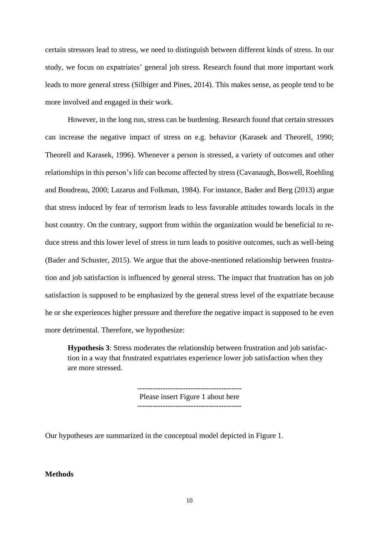certain stressors lead to stress, we need to distinguish between different kinds of stress. In our study, we focus on expatriates' general job stress. Research found that more important work leads to more general stress (Silbiger and Pines, 2014). This makes sense, as people tend to be more involved and engaged in their work.

However, in the long run, stress can be burdening. Research found that certain stressors can increase the negative impact of stress on e.g. behavior (Karasek and Theorell, 1990; Theorell and Karasek, 1996). Whenever a person is stressed, a variety of outcomes and other relationships in this person's life can become affected by stress (Cavanaugh, Boswell, Roehling and Boudreau, 2000; Lazarus and Folkman, 1984). For instance, Bader and Berg (2013) argue that stress induced by fear of terrorism leads to less favorable attitudes towards locals in the host country. On the contrary, support from within the organization would be beneficial to reduce stress and this lower level of stress in turn leads to positive outcomes, such as well-being (Bader and Schuster, 2015). We argue that the above-mentioned relationship between frustration and job satisfaction is influenced by general stress. The impact that frustration has on job satisfaction is supposed to be emphasized by the general stress level of the expatriate because he or she experiences higher pressure and therefore the negative impact is supposed to be even more detrimental. Therefore, we hypothesize:

**Hypothesis 3**: Stress moderates the relationship between frustration and job satisfaction in a way that frustrated expatriates experience lower job satisfaction when they are more stressed.

Please insert Figure 1 about here

Our hypotheses are summarized in the conceptual model depicted in Figure 1.

### **Methods**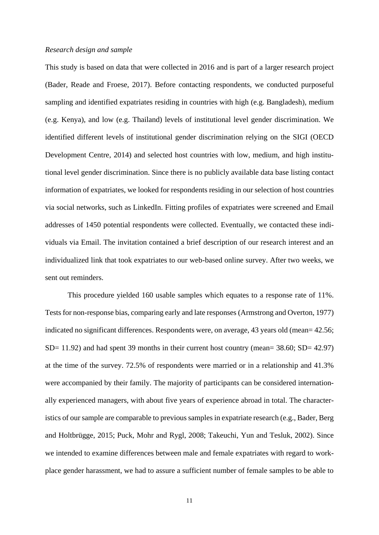#### *Research design and sample*

This study is based on data that were collected in 2016 and is part of a larger research project (Bader, Reade and Froese, 2017). Before contacting respondents, we conducted purposeful sampling and identified expatriates residing in countries with high (e.g. Bangladesh), medium (e.g. Kenya), and low (e.g. Thailand) levels of institutional level gender discrimination. We identified different levels of institutional gender discrimination relying on the SIGI (OECD Development Centre, 2014) and selected host countries with low, medium, and high institutional level gender discrimination. Since there is no publicly available data base listing contact information of expatriates, we looked for respondents residing in our selection of host countries via social networks, such as LinkedIn. Fitting profiles of expatriates were screened and Email addresses of 1450 potential respondents were collected. Eventually, we contacted these individuals via Email. The invitation contained a brief description of our research interest and an individualized link that took expatriates to our web-based online survey. After two weeks, we sent out reminders.

This procedure yielded 160 usable samples which equates to a response rate of 11%. Tests for non-response bias, comparing early and late responses (Armstrong and Overton, 1977) indicated no significant differences. Respondents were, on average, 43 years old (mean= 42.56;  $SD= 11.92$ ) and had spent 39 months in their current host country (mean= 38.60;  $SD= 42.97$ ) at the time of the survey. 72.5% of respondents were married or in a relationship and 41.3% were accompanied by their family. The majority of participants can be considered internationally experienced managers, with about five years of experience abroad in total. The characteristics of our sample are comparable to previous samples in expatriate research (e.g., Bader, Berg and Holtbrügge, 2015; Puck, Mohr and Rygl, 2008; Takeuchi, Yun and Tesluk, 2002). Since we intended to examine differences between male and female expatriates with regard to workplace gender harassment, we had to assure a sufficient number of female samples to be able to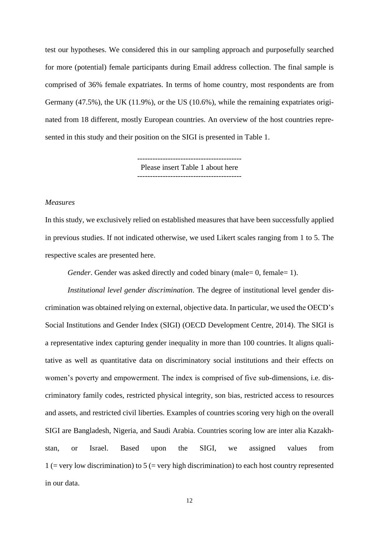test our hypotheses. We considered this in our sampling approach and purposefully searched for more (potential) female participants during Email address collection. The final sample is comprised of 36% female expatriates. In terms of home country, most respondents are from Germany (47.5%), the UK (11.9%), or the US (10.6%), while the remaining expatriates originated from 18 different, mostly European countries. An overview of the host countries represented in this study and their position on the SIGI is presented in Table 1.

> ----------------------------------------- Please insert Table 1 about here -----------------------------------------

#### *Measures*

In this study, we exclusively relied on established measures that have been successfully applied in previous studies. If not indicated otherwise, we used Likert scales ranging from 1 to 5. The respective scales are presented here.

*Gender*. Gender was asked directly and coded binary (male= 0, female= 1).

*Institutional level gender discrimination*. The degree of institutional level gender discrimination was obtained relying on external, objective data. In particular, we used the OECD's Social Institutions and Gender Index (SIGI) (OECD Development Centre, 2014). The SIGI is a representative index capturing gender inequality in more than 100 countries. It aligns qualitative as well as quantitative data on discriminatory social institutions and their effects on women's poverty and empowerment. The index is comprised of five sub-dimensions, i.e. discriminatory family codes, restricted physical integrity, son bias, restricted access to resources and assets, and restricted civil liberties. Examples of countries scoring very high on the overall SIGI are Bangladesh, Nigeria, and Saudi Arabia. Countries scoring low are inter alia Kazakhstan, or Israel. Based upon the SIGI, we assigned values from  $1$  (= very low discrimination) to  $5$  (= very high discrimination) to each host country represented in our data.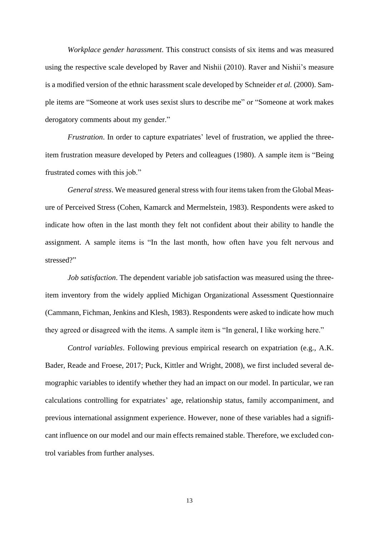*Workplace gender harassment*. This construct consists of six items and was measured using the respective scale developed by Raver and Nishii (2010). Raver and Nishii's measure is a modified version of the ethnic harassment scale developed by Schneider *et al.* (2000). Sample items are "Someone at work uses sexist slurs to describe me" or "Someone at work makes derogatory comments about my gender."

*Frustration*. In order to capture expatriates' level of frustration, we applied the threeitem frustration measure developed by Peters and colleagues (1980). A sample item is "Being frustrated comes with this job."

*General stress*. We measured general stress with four items taken from the Global Measure of Perceived Stress (Cohen, Kamarck and Mermelstein, 1983). Respondents were asked to indicate how often in the last month they felt not confident about their ability to handle the assignment. A sample items is "In the last month, how often have you felt nervous and stressed?"

*Job satisfaction*. The dependent variable job satisfaction was measured using the threeitem inventory from the widely applied Michigan Organizational Assessment Questionnaire (Cammann, Fichman, Jenkins and Klesh, 1983). Respondents were asked to indicate how much they agreed or disagreed with the items. A sample item is "In general, I like working here."

*Control variables*. Following previous empirical research on expatriation (e.g., A.K. Bader, Reade and Froese, 2017; Puck, Kittler and Wright, 2008), we first included several demographic variables to identify whether they had an impact on our model. In particular, we ran calculations controlling for expatriates' age, relationship status, family accompaniment, and previous international assignment experience. However, none of these variables had a significant influence on our model and our main effects remained stable. Therefore, we excluded control variables from further analyses.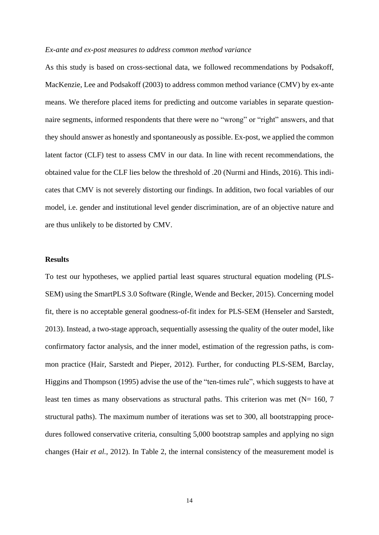#### *Ex-ante and ex-post measures to address common method variance*

As this study is based on cross-sectional data, we followed recommendations by Podsakoff, MacKenzie, Lee and Podsakoff (2003) to address common method variance (CMV) by ex-ante means. We therefore placed items for predicting and outcome variables in separate questionnaire segments, informed respondents that there were no "wrong" or "right" answers, and that they should answer as honestly and spontaneously as possible. Ex-post, we applied the common latent factor (CLF) test to assess CMV in our data. In line with recent recommendations, the obtained value for the CLF lies below the threshold of .20 (Nurmi and Hinds, 2016). This indicates that CMV is not severely distorting our findings. In addition, two focal variables of our model, i.e. gender and institutional level gender discrimination, are of an objective nature and are thus unlikely to be distorted by CMV.

### **Results**

To test our hypotheses, we applied partial least squares structural equation modeling (PLS-SEM) using the SmartPLS 3.0 Software (Ringle, Wende and Becker, 2015). Concerning model fit, there is no acceptable general goodness-of-fit index for PLS-SEM (Henseler and Sarstedt, 2013). Instead, a two-stage approach, sequentially assessing the quality of the outer model, like confirmatory factor analysis, and the inner model, estimation of the regression paths, is common practice (Hair, Sarstedt and Pieper, 2012). Further, for conducting PLS-SEM, Barclay, Higgins and Thompson (1995) advise the use of the "ten-times rule", which suggests to have at least ten times as many observations as structural paths. This criterion was met  $(N= 160, 7$ structural paths). The maximum number of iterations was set to 300, all bootstrapping procedures followed conservative criteria, consulting 5,000 bootstrap samples and applying no sign changes (Hair *et al.*, 2012). In Table 2, the internal consistency of the measurement model is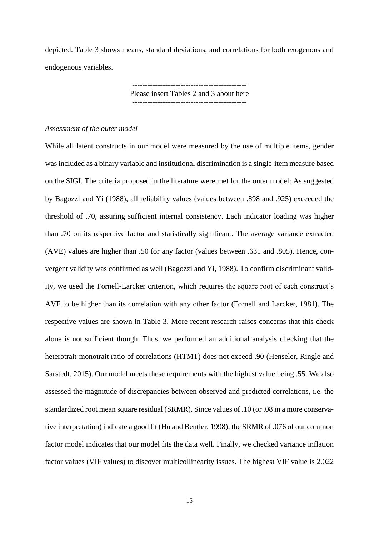depicted. Table 3 shows means, standard deviations, and correlations for both exogenous and endogenous variables.

> --------------------------------------------- Please insert Tables 2 and 3 about here ---------------------------------------------

#### *Assessment of the outer model*

While all latent constructs in our model were measured by the use of multiple items, gender was included as a binary variable and institutional discrimination is a single-item measure based on the SIGI. The criteria proposed in the literature were met for the outer model: As suggested by Bagozzi and Yi (1988), all reliability values (values between .898 and .925) exceeded the threshold of .70, assuring sufficient internal consistency. Each indicator loading was higher than .70 on its respective factor and statistically significant. The average variance extracted (AVE) values are higher than .50 for any factor (values between .631 and .805). Hence, convergent validity was confirmed as well (Bagozzi and Yi, 1988). To confirm discriminant validity, we used the Fornell-Larcker criterion, which requires the square root of each construct's AVE to be higher than its correlation with any other factor (Fornell and Larcker, 1981). The respective values are shown in Table 3. More recent research raises concerns that this check alone is not sufficient though. Thus, we performed an additional analysis checking that the heterotrait-monotrait ratio of correlations (HTMT) does not exceed .90 (Henseler, Ringle and Sarstedt, 2015). Our model meets these requirements with the highest value being .55. We also assessed the magnitude of discrepancies between observed and predicted correlations, i.e. the standardized root mean square residual (SRMR). Since values of .10 (or .08 in a more conservative interpretation) indicate a good fit (Hu and Bentler, 1998), the SRMR of .076 of our common factor model indicates that our model fits the data well. Finally, we checked variance inflation factor values (VIF values) to discover multicollinearity issues. The highest VIF value is 2.022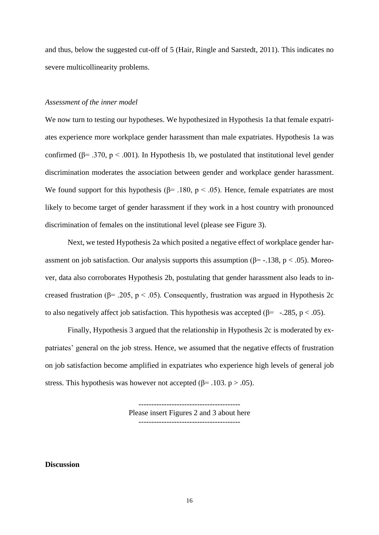and thus, below the suggested cut-off of 5 (Hair, Ringle and Sarstedt, 2011). This indicates no severe multicollinearity problems.

## *Assessment of the inner model*

We now turn to testing our hypotheses. We hypothesized in Hypothesis 1a that female expatriates experience more workplace gender harassment than male expatriates. Hypothesis 1a was confirmed ( $\beta$ = .370, p < .001). In Hypothesis 1b, we postulated that institutional level gender discrimination moderates the association between gender and workplace gender harassment. We found support for this hypothesis ( $\beta$ = .180, p < .05). Hence, female expatriates are most likely to become target of gender harassment if they work in a host country with pronounced discrimination of females on the institutional level (please see Figure 3).

Next, we tested Hypothesis 2a which posited a negative effect of workplace gender harassment on job satisfaction. Our analysis supports this assumption ( $\beta$ = -.138, p < .05). Moreover, data also corroborates Hypothesis 2b, postulating that gender harassment also leads to increased frustration ( $\beta$ = .205, p < .05). Consequently, frustration was argued in Hypothesis 2c to also negatively affect job satisfaction. This hypothesis was accepted ( $\beta$ = -.285, p < .05).

Finally, Hypothesis 3 argued that the relationship in Hypothesis 2c is moderated by expatriates' general on the job stress. Hence, we assumed that the negative effects of frustration on job satisfaction become amplified in expatriates who experience high levels of general job stress. This hypothesis was however not accepted ( $\beta$ = .103. p > .05).

> Please insert Figures 2 and 3 about here ----------------------------------------

### **Discussion**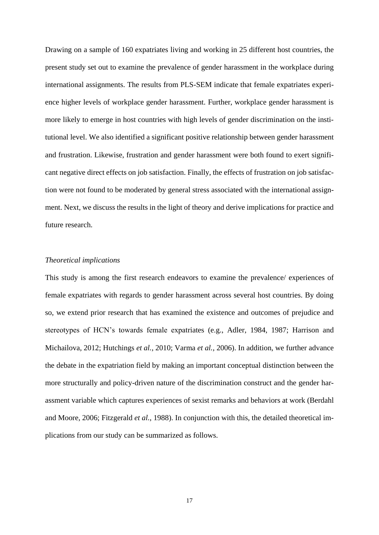Drawing on a sample of 160 expatriates living and working in 25 different host countries, the present study set out to examine the prevalence of gender harassment in the workplace during international assignments. The results from PLS-SEM indicate that female expatriates experience higher levels of workplace gender harassment. Further, workplace gender harassment is more likely to emerge in host countries with high levels of gender discrimination on the institutional level. We also identified a significant positive relationship between gender harassment and frustration. Likewise, frustration and gender harassment were both found to exert significant negative direct effects on job satisfaction. Finally, the effects of frustration on job satisfaction were not found to be moderated by general stress associated with the international assignment. Next, we discuss the results in the light of theory and derive implications for practice and future research.

## *Theoretical implications*

This study is among the first research endeavors to examine the prevalence/ experiences of female expatriates with regards to gender harassment across several host countries. By doing so, we extend prior research that has examined the existence and outcomes of prejudice and stereotypes of HCN's towards female expatriates (e.g., Adler, 1984, 1987; Harrison and Michailova, 2012; Hutchings *et al.*, 2010; Varma *et al.*, 2006). In addition, we further advance the debate in the expatriation field by making an important conceptual distinction between the more structurally and policy-driven nature of the discrimination construct and the gender harassment variable which captures experiences of sexist remarks and behaviors at work (Berdahl and Moore, 2006; Fitzgerald *et al.*, 1988). In conjunction with this, the detailed theoretical implications from our study can be summarized as follows.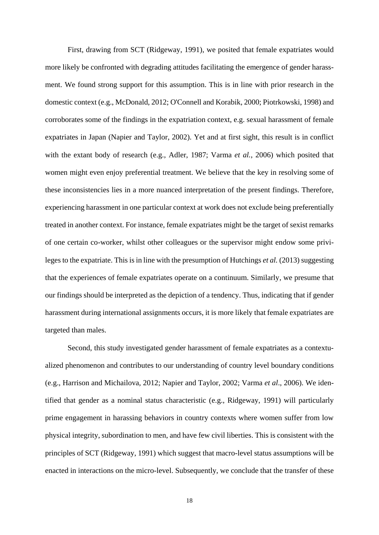First, drawing from SCT (Ridgeway, 1991), we posited that female expatriates would more likely be confronted with degrading attitudes facilitating the emergence of gender harassment. We found strong support for this assumption. This is in line with prior research in the domestic context (e.g., McDonald, 2012; O'Connell and Korabik, 2000; Piotrkowski, 1998) and corroborates some of the findings in the expatriation context, e.g. sexual harassment of female expatriates in Japan (Napier and Taylor, 2002). Yet and at first sight, this result is in conflict with the extant body of research (e.g., Adler, 1987; Varma *et al.*, 2006) which posited that women might even enjoy preferential treatment. We believe that the key in resolving some of these inconsistencies lies in a more nuanced interpretation of the present findings. Therefore, experiencing harassment in one particular context at work does not exclude being preferentially treated in another context. For instance, female expatriates might be the target of sexist remarks of one certain co-worker, whilst other colleagues or the supervisor might endow some privileges to the expatriate. This is in line with the presumption of Hutchings *et al.* (2013) suggesting that the experiences of female expatriates operate on a continuum. Similarly, we presume that our findings should be interpreted as the depiction of a tendency. Thus, indicating that if gender harassment during international assignments occurs, it is more likely that female expatriates are targeted than males.

Second, this study investigated gender harassment of female expatriates as a contextualized phenomenon and contributes to our understanding of country level boundary conditions (e.g., Harrison and Michailova, 2012; Napier and Taylor, 2002; Varma *et al*., 2006). We identified that gender as a nominal status characteristic (e.g., Ridgeway, 1991) will particularly prime engagement in harassing behaviors in country contexts where women suffer from low physical integrity, subordination to men, and have few civil liberties. This is consistent with the principles of SCT (Ridgeway, 1991) which suggest that macro-level status assumptions will be enacted in interactions on the micro-level. Subsequently, we conclude that the transfer of these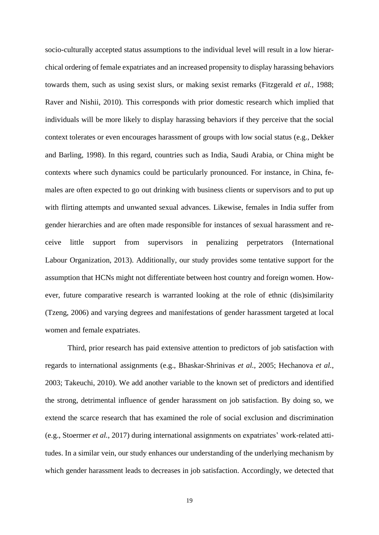socio-culturally accepted status assumptions to the individual level will result in a low hierarchical ordering of female expatriates and an increased propensity to display harassing behaviors towards them, such as using sexist slurs, or making sexist remarks (Fitzgerald *et al.*, 1988; Raver and Nishii, 2010). This corresponds with prior domestic research which implied that individuals will be more likely to display harassing behaviors if they perceive that the social context tolerates or even encourages harassment of groups with low social status (e.g., Dekker and Barling, 1998). In this regard, countries such as India, Saudi Arabia, or China might be contexts where such dynamics could be particularly pronounced. For instance, in China, females are often expected to go out drinking with business clients or supervisors and to put up with flirting attempts and unwanted sexual advances. Likewise, females in India suffer from gender hierarchies and are often made responsible for instances of sexual harassment and receive little support from supervisors in penalizing perpetrators (International Labour Organization, 2013). Additionally, our study provides some tentative support for the assumption that HCNs might not differentiate between host country and foreign women. However, future comparative research is warranted looking at the role of ethnic (dis)similarity (Tzeng, 2006) and varying degrees and manifestations of gender harassment targeted at local women and female expatriates.

Third, prior research has paid extensive attention to predictors of job satisfaction with regards to international assignments (e.g., Bhaskar-Shrinivas *et al.*, 2005; Hechanova *et al.*, 2003; Takeuchi, 2010). We add another variable to the known set of predictors and identified the strong, detrimental influence of gender harassment on job satisfaction. By doing so, we extend the scarce research that has examined the role of social exclusion and discrimination (e.g., Stoermer *et al.*, 2017) during international assignments on expatriates' work-related attitudes. In a similar vein, our study enhances our understanding of the underlying mechanism by which gender harassment leads to decreases in job satisfaction. Accordingly, we detected that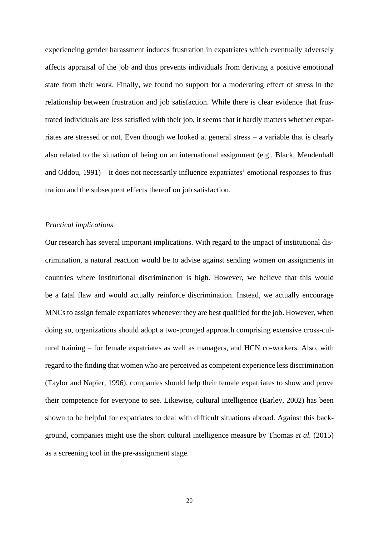experiencing gender harassment induces frustration in expatriates which eventually adversely affects appraisal of the job and thus prevents individuals from deriving a positive emotional state from their work. Finally, we found no support for a moderating effect of stress in the relationship between frustration and job satisfaction. While there is clear evidence that frustrated individuals are less satisfied with their job, it seems that it hardly matters whether expatriates are stressed or not. Even though we looked at general stress – a variable that is clearly also related to the situation of being on an international assignment (e.g., Black, Mendenhall and Oddou, 1991) – it does not necessarily influence expatriates' emotional responses to frustration and the subsequent effects thereof on job satisfaction.

#### *Practical implications*

Our research has several important implications. With regard to the impact of institutional discrimination, a natural reaction would be to advise against sending women on assignments in countries where institutional discrimination is high. However, we believe that this would be a fatal flaw and would actually reinforce discrimination. Instead, we actually encourage MNCs to assign female expatriates whenever they are best qualified for the job. However, when doing so, organizations should adopt a two-pronged approach comprising extensive cross-cultural training – for female expatriates as well as managers, and HCN co-workers. Also, with regard to the finding that women who are perceived as competent experience less discrimination (Taylor and Napier, 1996), companies should help their female expatriates to show and prove their competence for everyone to see. Likewise, cultural intelligence (Earley, 2002) has been shown to be helpful for expatriates to deal with difficult situations abroad. Against this background, companies might use the short cultural intelligence measure by Thomas *et al.* (2015) as a screening tool in the pre-assignment stage.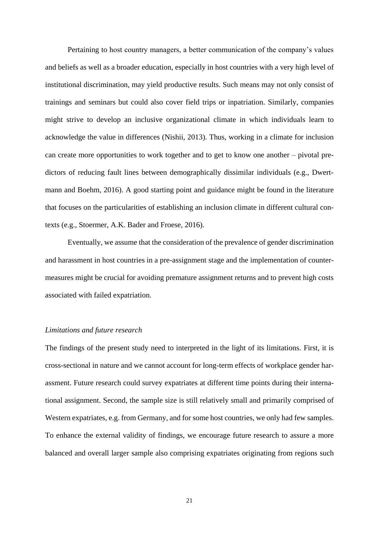Pertaining to host country managers, a better communication of the company's values and beliefs as well as a broader education, especially in host countries with a very high level of institutional discrimination, may yield productive results. Such means may not only consist of trainings and seminars but could also cover field trips or inpatriation. Similarly, companies might strive to develop an inclusive organizational climate in which individuals learn to acknowledge the value in differences (Nishii, 2013). Thus, working in a climate for inclusion can create more opportunities to work together and to get to know one another – pivotal predictors of reducing fault lines between demographically dissimilar individuals (e.g., Dwertmann and Boehm, 2016). A good starting point and guidance might be found in the literature that focuses on the particularities of establishing an inclusion climate in different cultural contexts (e.g., Stoermer, A.K. Bader and Froese, 2016).

Eventually, we assume that the consideration of the prevalence of gender discrimination and harassment in host countries in a pre-assignment stage and the implementation of countermeasures might be crucial for avoiding premature assignment returns and to prevent high costs associated with failed expatriation.

#### *Limitations and future research*

The findings of the present study need to interpreted in the light of its limitations. First, it is cross-sectional in nature and we cannot account for long-term effects of workplace gender harassment. Future research could survey expatriates at different time points during their international assignment. Second, the sample size is still relatively small and primarily comprised of Western expatriates, e.g. from Germany, and for some host countries, we only had few samples. To enhance the external validity of findings, we encourage future research to assure a more balanced and overall larger sample also comprising expatriates originating from regions such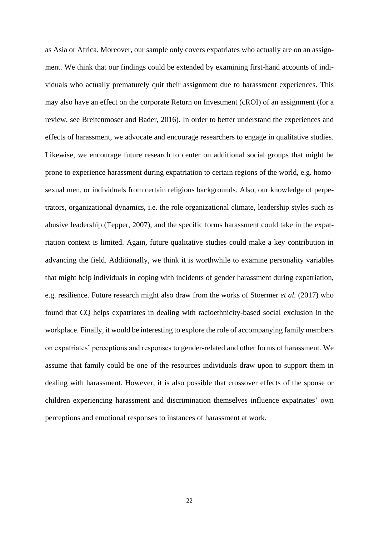as Asia or Africa. Moreover, our sample only covers expatriates who actually are on an assignment. We think that our findings could be extended by examining first-hand accounts of individuals who actually prematurely quit their assignment due to harassment experiences. This may also have an effect on the corporate Return on Investment (cROI) of an assignment (for a review, see Breitenmoser and Bader, 2016). In order to better understand the experiences and effects of harassment, we advocate and encourage researchers to engage in qualitative studies. Likewise, we encourage future research to center on additional social groups that might be prone to experience harassment during expatriation to certain regions of the world, e.g. homosexual men, or individuals from certain religious backgrounds. Also, our knowledge of perpetrators, organizational dynamics, i.e. the role organizational climate, leadership styles such as abusive leadership (Tepper, 2007), and the specific forms harassment could take in the expatriation context is limited. Again, future qualitative studies could make a key contribution in advancing the field. Additionally, we think it is worthwhile to examine personality variables that might help individuals in coping with incidents of gender harassment during expatriation, e.g. resilience. Future research might also draw from the works of Stoermer *et al.* (2017) who found that CQ helps expatriates in dealing with racioethnicity-based social exclusion in the workplace. Finally, it would be interesting to explore the role of accompanying family members on expatriates' perceptions and responses to gender-related and other forms of harassment. We assume that family could be one of the resources individuals draw upon to support them in dealing with harassment. However, it is also possible that crossover effects of the spouse or children experiencing harassment and discrimination themselves influence expatriates' own perceptions and emotional responses to instances of harassment at work.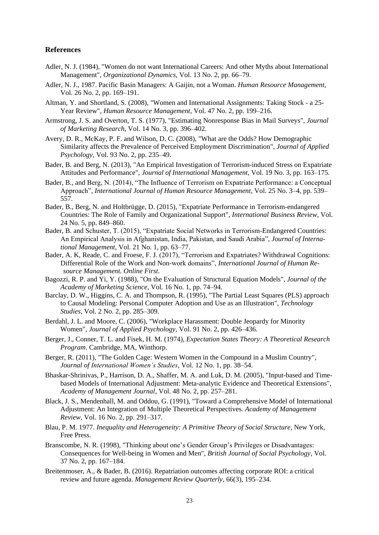#### **References**

- Adler, N. J. (1984), "Women do not want International Careers: And other Myths about International Management", *Organizational Dynamics*, Vol. 13 No. 2, pp. 66–79.
- Adler, N. J., 1987. Pacific Basin Managers: A Gaijin, not a Woman. *Human Resource Management*, Vol. 26 No. 2, pp. 169–191.
- Altman, Y. and Shortland, S. (2008), "Women and International Assignments: Taking Stock a 25- Year Review", *Human Resource Management*, Vol. 47 No. 2, pp. 199–216.
- Armstrong, J. S. and Overton, T. S. (1977), "Estimating Nonresponse Bias in Mail Surveys", *Journal of Marketing Research*, Vol. 14 No. 3, pp. 396–402.
- Avery, D. R., McKay, P. F. and Wilson, D. C. (2008), "What are the Odds? How Demographic Similarity affects the Prevalence of Perceived Employment Discrimination", *Journal of Applied Psychology*, Vol. 93 No. 2, pp. 235–49.
- Bader, B. and Berg, N. (2013), "An Empirical Investigation of Terrorism-induced Stress on Expatriate Attitudes and Performance", *Journal of International Management*, Vol. 19 No. 3, pp. 163–175.
- Bader, B., and Berg, N. (2014), "The Influence of Terrorism on Expatriate Performance: a Conceptual Approach", *International Journal of Human Resource Management*, Vol. 25 No. 3–4, pp. 539– 557.
- Bader, B., Berg, N. and Holtbrügge, D. (2015), "Expatriate Performance in Terrorism-endangered Countries: The Role of Family and Organizational Support", *International Business Review*, Vol. 24 No. 5, pp. 849–860.
- Bader, B. and Schuster, T. (2015), "Expatriate Social Networks in Terrorism-Endangered Countries: An Empirical Analysis in Afghanistan, India, Pakistan, and Saudi Arabia", *Journal of International Management*, Vol. 21 No. 1, pp. 63–77.
- Bader, A. K, Reade, C. and Froese, F. J. (2017), "Terrorism and Expatriates? Withdrawal Cognitions: Differential Role of the Work and Non-work domains", *International Journal of Human Resource Management. Online First*.
- Bagozzi, R. P. and Yi, Y. (1988), "On the Evaluation of Structural Equation Models", *Journal of the Academy of Marketing Science*, Vol. 16 No. 1, pp. 74–94.
- Barclay, D. W., Higgins, C. A. and Thompson, R. (1995), "The Partial Least Squares (PLS) approach to Causal Modeling: Personal Computer Adoption and Use as an Illustration", *Technology Studies*, Vol. 2 No. 2, pp. 285–309.
- Berdahl, J. L. and Moore, C. (2006), "Workplace Harassment: Double Jeopardy for Minority Women", *Journal of Applied Psychology*, Vol. 91 No. 2, pp. 426–436.
- Berger, J., Conner, T. L. and Fisek, H. M. (1974), *Expectation States Theory: A Theoretical Research Program*. Cambridge, MA, Winthorp.
- Berger, R. (2011), "The Golden Cage: Western Women in the Compound in a Muslim Country", *Journal of International Women's Studies*, Vol. 12 No. 1, pp. 38–54.
- Bhaskar-Shrinivas, P., Harrison, D. A., Shaffer, M. A. and Luk, D. M. (2005), "Input-based and Timebased Models of International Adjustment: Meta-analytic Evidence and Theoretical Extensions", *Academy of Management Journal*, Vol. 48 No. 2, pp. 257–281.
- Black, J. S., Mendenhall, M. and Oddou, G. (1991), "Toward a Comprehensive Model of International Adjustment: An Integration of Multiple Theoretical Perspectives. *Academy of Management Review*, Vol. 16 No. 2, pp. 291–317.
- Blau, P. M. 1977. *Inequality and Heterogeneity: A Primitive Theory of Social Structure*, New York, Free Press.
- Branscombe, N. R. (1998), "Thinking about one's Gender Group's Privileges or Disadvantages: Consequences for Well-being in Women and Men", *British Journal of Social Psychology*, Vol. 37 No. 2, pp. 167–184.
- Breitenmoser, A., & Bader, B. (2016). Repatriation outcomes affecting corporate ROI: a critical review and future agenda. *Management Review Quarterly*, 66(3), 195–234.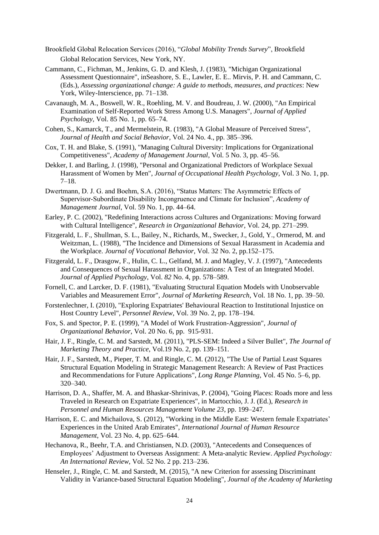- Brookfield Global Relocation Services (2016), "*Global Mobility Trends Survey*", Brookfield Global Relocation Services, New York, NY.
- Cammann, C., Fichman, M., Jenkins, G. D. and Klesh, J. (1983), "Michigan Organizational Assessment Questionnaire", inSeashore, S. E., Lawler, E. E.. Mirvis, P. H. and Cammann, C. (Eds.), *Assessing organizational change: A guide to methods, measures, and practices*: New York, Wiley-Interscience, pp. 71–138.
- Cavanaugh, M. A., Boswell, W. R., Roehling, M. V. and Boudreau, J. W. (2000), "An Empirical Examination of Self-Reported Work Stress Among U.S. Managers", *Journal of Applied Psychology*, Vol. 85 No. 1, pp. 65–74.
- Cohen, S., Kamarck, T., and Mermelstein, R. (1983), "A Global Measure of Perceived Stress", *Journal of Health and Social Behavior*, Vol. 24 No. 4., pp. 385–396.
- Cox, T. H. and Blake, S. (1991), "Managing Cultural Diversity: Implications for Organizational Competitiveness", *Academy of Management Journal*, Vol. 5 No. 3, pp. 45–56.
- Dekker, I. and Barling, J. (1998), "Personal and Organizational Predictors of Workplace Sexual Harassment of Women by Men", *Journal of Occupational Health Psychology*, Vol. 3 No. 1, pp. 7–18.
- Dwertmann, D. J. G. and Boehm, S.A. (2016), "Status Matters: The Asymmetric Effects of Supervisor-Subordinate Disability Incongruence and Climate for Inclusion", *Academy of Management Journal*, Vol. 59 No. 1, pp. 44–64.
- Earley, P. C. (2002), "Redefining Interactions across Cultures and Organizations: Moving forward with Cultural Intelligence", *Research in Organizational Behavior*, Vol. 24, pp. 271–299.
- Fitzgerald, L. F., Shullman, S. L., Bailey, N., Richards, M., Swecker, J., Gold, Y., Ormerod, M. and Weitzman, L. (1988), "The Incidence and Dimensions of Sexual Harassment in Academia and the Workplace. *Journal of Vocational Behavior*, Vol. 32 No. 2, pp.152–175.
- Fitzgerald, L. F., Drasgow, F., Hulin, C. L., Gelfand, M. J. and Magley, V. J. (1997), "Antecedents and Consequences of Sexual Harassment in Organizations: A Test of an Integrated Model. *Journal of Applied Psychology*, Vol. *82* No. 4, pp. 578–589.
- Fornell, C. and Larcker, D. F. (1981), "Evaluating Structural Equation Models with Unobservable Variables and Measurement Error", *Journal of Marketing Research*, Vol. 18 No. 1, pp. 39–50.
- Forstenlechner, I. (2010), "Exploring Expatriates' Behavioural Reaction to Institutional Injustice on Host Country Level", *Personnel Review*, Vol. 39 No. 2, pp. 178–194.
- Fox, S. and Spector, P. E. (1999), "A Model of Work Frustration-Aggression", *Journal of Organizational Behavior*, Vol. 20 No. 6, pp. 915-931.
- Hair, J. F., Ringle, C. M. and Sarstedt, M. (2011), "PLS-SEM: Indeed a Silver Bullet", *The Journal of Marketing Theory and Practice*, Vol.19 No. 2, pp. 139–151.
- Hair, J. F., Sarstedt, M., Pieper, T. M. and Ringle, C. M. (2012), "The Use of Partial Least Squares Structural Equation Modeling in Strategic Management Research: A Review of Past Practices and Recommendations for Future Applications", *Long Range Planning*, Vol. 45 No. 5–6, pp. 320–340.
- Harrison, D. A., Shaffer, M. A. and Bhaskar-Shrinivas, P. (2004), "Going Places: Roads more and less Traveled in Research on Expatriate Experiences", in Martocchio, J. J. (Ed.), *Research in Personnel and Human Resources Management Volume 23*, pp. 199–247.
- Harrison, E. C. and Michailova, S. (2012), "Working in the Middle East: Western female Expatriates' Experiences in the United Arab Emirates", *International Journal of Human Resource Management*, Vol. 23 No. 4, pp. 625–644.
- Hechanova, R., Beehr, T.A. and Christiansen, N.D. (2003), "Antecedents and Consequences of Employees' Adjustment to Overseas Assignment: A Meta‐analytic Review. *Applied Psychology: An International Review*, Vol. 52 No. 2 pp. 213–236.
- Henseler, J., Ringle, C. M. and Sarstedt, M. (2015), "A new Criterion for assessing Discriminant Validity in Variance-based Structural Equation Modeling", *Journal of the Academy of Marketing*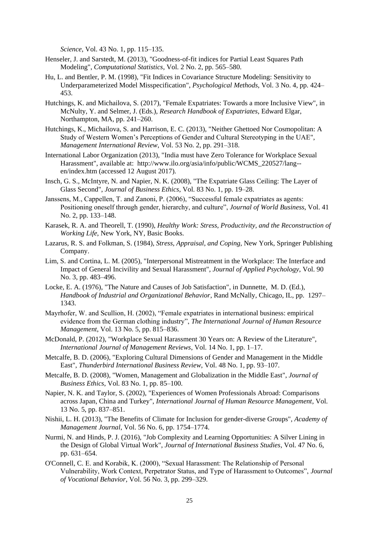*Science*, Vol. 43 No. 1, pp. 115–135.

- Henseler, J. and Sarstedt, M. (2013), "Goodness-of-fit indices for Partial Least Squares Path Modeling", *Computational Statistics*, Vol. 2 No. 2, pp. 565–580.
- Hu, L. and Bentler, P. M. (1998), "Fit Indices in Covariance Structure Modeling: Sensitivity to Underparameterized Model Misspecification", *Psychological Methods*, Vol. 3 No. 4, pp. 424– 453.
- Hutchings, K. and Michailova, S. (2017), "Female Expatriates: Towards a more Inclusive View", in McNulty, Y. and Selmer, J. (Eds.), *Research Handbook of Expatriates*, Edward Elgar, Northampton, MA, pp. 241–260.
- Hutchings, K., Michailova, S. and Harrison, E. C. (2013), "Neither Ghettoed Nor Cosmopolitan: A Study of Western Women's Perceptions of Gender and Cultural Stereotyping in the UAE", *Management International Review*, Vol. 53 No. 2, pp. 291–318.
- International Labor Organization (2013), "India must have Zero Tolerance for Workplace Sexual Harassment", available at: http://www.ilo.org/asia/info/public/WCMS\_220527/lang- en/index.htm (accessed 12 August 2017).
- Insch, G. S., McIntyre, N. and Napier, N. K. (2008), "The Expatriate Glass Ceiling: The Layer of Glass Second", *Journal of Business Ethics*, Vol. 83 No. 1, pp. 19–28.
- Janssens, M., Cappellen, T. and Zanoni, P. (2006), "Successful female expatriates as agents: Positioning oneself through gender, hierarchy, and culture", *Journal of World Business*, Vol. 41 No. 2, pp. 133–148.
- Karasek, R. A. and Theorell, T. (1990), *Healthy Work: Stress, Productivity, and the Reconstruction of Working Life*, New York, NY, Basic Books.
- Lazarus, R. S. and Folkman, S. (1984), *Stress, Appraisal, and Coping*, New York, Springer Publishing Company.
- Lim, S. and Cortina, L. M. (2005), "Interpersonal Mistreatment in the Workplace: The Interface and Impact of General Incivility and Sexual Harassment", *Journal of Applied Psychology*, Vol. 90 No. 3, pp. 483–496.
- Locke, E. A. (1976), "The Nature and Causes of Job Satisfaction", in Dunnette, M. D. (Ed.), *Handbook of Industrial and Organizational Behavior*, Rand McNally, Chicago, IL, pp. 1297– 1343.
- Mayrhofer, W. and Scullion, H. (2002), "Female expatriates in international business: empirical evidence from the German clothing industry", *The International Journal of Human Resource Management*, Vol. 13 No. 5, pp. 815–836.
- McDonald, P. (2012), "Workplace Sexual Harassment 30 Years on: A Review of the Literature", *International Journal of Management Reviews*, Vol. 14 No. 1, pp. 1–17.
- Metcalfe, B. D. (2006), "Exploring Cultural Dimensions of Gender and Management in the Middle East", *Thunderbird International Business Review*, Vol. 48 No. 1, pp. 93–107.
- Metcalfe, B. D. (2008), "Women, Management and Globalization in the Middle East", *Journal of Business Ethics*, Vol. 83 No. 1, pp. 85–100.
- Napier, N. K. and Taylor, S. (2002), "Experiences of Women Professionals Abroad: Comparisons across Japan, China and Turkey", *International Journal of Human Resource Management*, Vol. 13 No. 5, pp. 837–851.
- Nishii, L. H. (2013), "The Benefits of Climate for Inclusion for gender-diverse Groups", *Academy of Management Journal*, Vol. 56 No. 6, pp. 1754–1774.
- Nurmi, N. and Hinds, P. J. (2016), "Job Complexity and Learning Opportunities: A Silver Lining in the Design of Global Virtual Work", *Journal of International Business Studies*, Vol. 47 No. 6, pp. 631–654.
- O'Connell, C. E. and Korabik, K. (2000), "Sexual Harassment: The Relationship of Personal Vulnerability, Work Context, Perpetrator Status, and Type of Harassment to Outcomes", *Journal of Vocational Behavior*, Vol. 56 No. 3, pp. 299–329.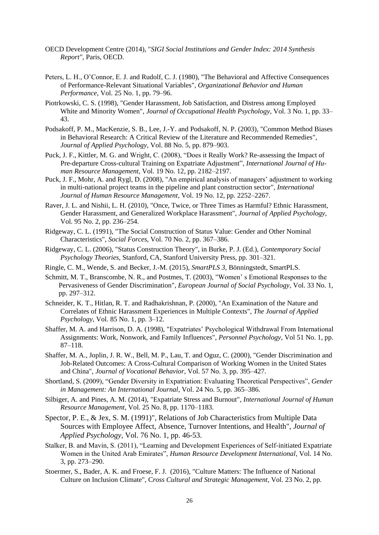- OECD Development Centre (2014), "*SIGI Social Institutions and Gender Index: 2014 Synthesis Report"*, Paris, OECD.
- Peters, L. H., O'Connor, E. J. and Rudolf, C. J. (1980), "The Behavioral and Affective Consequences of Performance-Relevant Situational Variables", *Organizational Behavior and Human Performance*, Vol. 25 No. 1, pp. 79–96.
- Piotrkowski, C. S. (1998), "Gender Harassment, Job Satisfaction, and Distress among Employed White and Minority Women", *Journal of Occupational Health Psychology*, Vol. 3 No. 1, pp. 33– 43.
- Podsakoff, P. M., MacKenzie, S. B., Lee, J.-Y. and Podsakoff, N. P. (2003), "Common Method Biases in Behavioral Research: A Critical Review of the Literature and Recommended Remedies", *Journal of Applied Psychology*, Vol. 88 No. 5, pp. 879–903.
- Puck, J. F., Kittler, M. G. and Wright, C. (2008), "Does it Really Work? Re-assessing the Impact of Pre-departure Cross-cultural Training on Expatriate Adjustment", *International Journal of Human Resource Management*, Vol. 19 No. 12, pp. 2182–2197.
- Puck, J. F., Mohr, A. and Rygl, D. (2008), "An empirical analysis of managers' adjustment to working in multi-national project teams in the pipeline and plant construction sector", *International Journal of Human Resource Management*, Vol. 19 No. 12, pp. 2252–2267.
- Raver, J. L. and Nishii, L. H. (2010), "Once, Twice, or Three Times as Harmful? Ethnic Harassment, Gender Harassment, and Generalized Workplace Harassment", *Journal of Applied Psychology*, Vol. 95 No. 2, pp. 236–254.
- Ridgeway, C. L. (1991), "The Social Construction of Status Value: Gender and Other Nominal Characteristics", *Social Forces*, Vol. 70 No. 2, pp. 367–386.
- Ridgeway, C. L. (2006), "Status Construction Theory", in Burke, P. J. (Ed.), *Contemporary Social Psychology Theories*, Stanford, CA, Stanford University Press, pp. 301–321.
- Ringle, C. M., Wende, S. and Becker, J.-M. (2015), *SmartPLS 3*, Bönningstedt, SmartPLS.
- Schmitt, M. T., Branscombe, N. R., and Postmes, T. (2003), "Women' s Emotional Responses to the Pervasiveness of Gender Discrimination", *European Journal of Social Psychology*, Vol. 33 No. 1, pp. 297–312.
- Schneider, K. T., Hitlan, R. T. and Radhakrishnan, P. (2000), "An Examination of the Nature and Correlates of Ethnic Harassment Experiences in Multiple Contexts", *The Journal of Applied Psychology*, Vol. 85 No. 1, pp. 3–12.
- Shaffer, M. A. and Harrison, D. A. (1998), "Expatriates' Psychological Withdrawal From International Assignments: Work, Nonwork, and Family Influences", *Personnel Psychology*, Vol 51 No. 1, pp. 87–118.
- Shaffer, M. A., Joplin, J. R. W., Bell, M. P., Lau, T. and Oguz, C. (2000), "Gender Discrimination and Job-Related Outcomes: A Cross-Cultural Comparison of Working Women in the United States and China", *Journal of Vocational Behavior*, Vol. 57 No. 3, pp. 395–427.
- Shortland, S. (2009), "Gender Diversity in Expatriation: Evaluating Theoretical Perspectives", *Gender in Management: An International Journal*, Vol. 24 No. 5, pp. 365–386.
- Silbiger, A. and Pines, A. M. (2014), "Expatriate Stress and Burnout", *International Journal of Human Resource Management*, Vol. 25 No. 8, pp. 1170–1183.
- Spector, P. E., & Jex, S. M. (1991)", Relations of Job Characteristics from Multiple Data Sources with Employee Affect, Absence, Turnover Intentions, and Health", *Journal of Applied Psychology,* Vol. 76 No. 1, pp. 46-53.
- Stalker, B. and Mavin, S. (2011), "Learning and Development Experiences of Self-initiated Expatriate Women in the United Arab Emirates", *Human Resource Development International*, Vol. 14 No. 3, pp. 273–290.
- Stoermer, S., Bader, A. K. and Froese, F. J. (2016), "Culture Matters: The Influence of National Culture on Inclusion Climate", C*ross Cultural and Strategic Management*, Vol. 23 No. 2, pp.